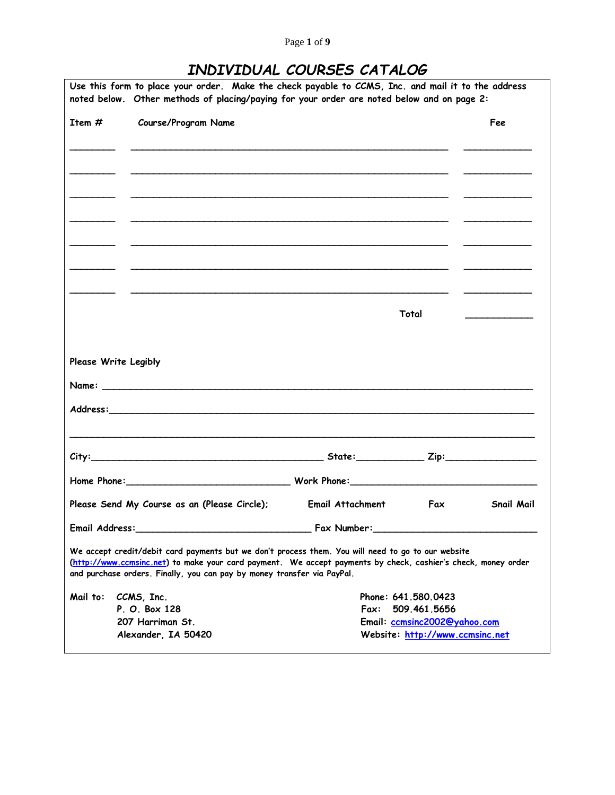# *INDIVIDUAL COURSES CATALOG*

|                      | Use this form to place your order. Make the check payable to CCMS, Inc. and mail it to the address<br>noted below. Other methods of placing/paying for your order are noted below and on page 2:                                                                                               |                    |                                 |                                                                                                                                                                                                                                      |  |
|----------------------|------------------------------------------------------------------------------------------------------------------------------------------------------------------------------------------------------------------------------------------------------------------------------------------------|--------------------|---------------------------------|--------------------------------------------------------------------------------------------------------------------------------------------------------------------------------------------------------------------------------------|--|
| Item $#$             | Course/Program Name                                                                                                                                                                                                                                                                            |                    |                                 | Fee                                                                                                                                                                                                                                  |  |
|                      |                                                                                                                                                                                                                                                                                                |                    |                                 |                                                                                                                                                                                                                                      |  |
|                      |                                                                                                                                                                                                                                                                                                |                    |                                 |                                                                                                                                                                                                                                      |  |
|                      |                                                                                                                                                                                                                                                                                                |                    |                                 |                                                                                                                                                                                                                                      |  |
|                      |                                                                                                                                                                                                                                                                                                |                    |                                 |                                                                                                                                                                                                                                      |  |
|                      |                                                                                                                                                                                                                                                                                                |                    |                                 |                                                                                                                                                                                                                                      |  |
|                      |                                                                                                                                                                                                                                                                                                |                    |                                 |                                                                                                                                                                                                                                      |  |
|                      |                                                                                                                                                                                                                                                                                                |                    | Total                           | <u>and the company of the company of the company of the company of the company of the company of the company of the company of the company of the company of the company of the company of the company of the company of the com</u> |  |
| Please Write Legibly |                                                                                                                                                                                                                                                                                                |                    |                                 |                                                                                                                                                                                                                                      |  |
|                      |                                                                                                                                                                                                                                                                                                |                    |                                 |                                                                                                                                                                                                                                      |  |
|                      |                                                                                                                                                                                                                                                                                                |                    |                                 |                                                                                                                                                                                                                                      |  |
|                      |                                                                                                                                                                                                                                                                                                |                    |                                 |                                                                                                                                                                                                                                      |  |
|                      | Home Phone: 2000 Mork Phone: 2000 Work Phone: 2000 Mork Phone: 2000 Mork Phone: 2000 Mork Phone: 2000 Mork Phone: 2000 Mork Phone: 2000 Mork Phone: 2000 More Phone: 2000 More Phone: 2000 More Phone: 2000 More Phone: 2000 M                                                                 |                    |                                 |                                                                                                                                                                                                                                      |  |
|                      | Please Send My Course as an (Please Circle);                                                                                                                                                                                                                                                   | Email Attachment   | Fax                             | <b>Snail Mail</b>                                                                                                                                                                                                                    |  |
| Email Address:       |                                                                                                                                                                                                                                                                                                | <b>Fax Number:</b> |                                 |                                                                                                                                                                                                                                      |  |
|                      | We accept credit/debit card payments but we don't process them. You will need to go to our website<br>(http://www.ccmsinc.net) to make your card payment. We accept payments by check, cashier's check, money order<br>and purchase orders. Finally, you can pay by money transfer via PayPal. |                    |                                 |                                                                                                                                                                                                                                      |  |
| Mail to:             | CCMS, Inc.                                                                                                                                                                                                                                                                                     |                    | Phone: 641, 580, 0423           |                                                                                                                                                                                                                                      |  |
|                      | P. O. Box 128                                                                                                                                                                                                                                                                                  | Fax:               | 509.461.5656                    |                                                                                                                                                                                                                                      |  |
|                      | 207 Harriman St.                                                                                                                                                                                                                                                                               |                    | Email: ccmsinc2002@yahoo.com    |                                                                                                                                                                                                                                      |  |
|                      | Alexander, IA 50420                                                                                                                                                                                                                                                                            |                    | Website: http://www.ccmsinc.net |                                                                                                                                                                                                                                      |  |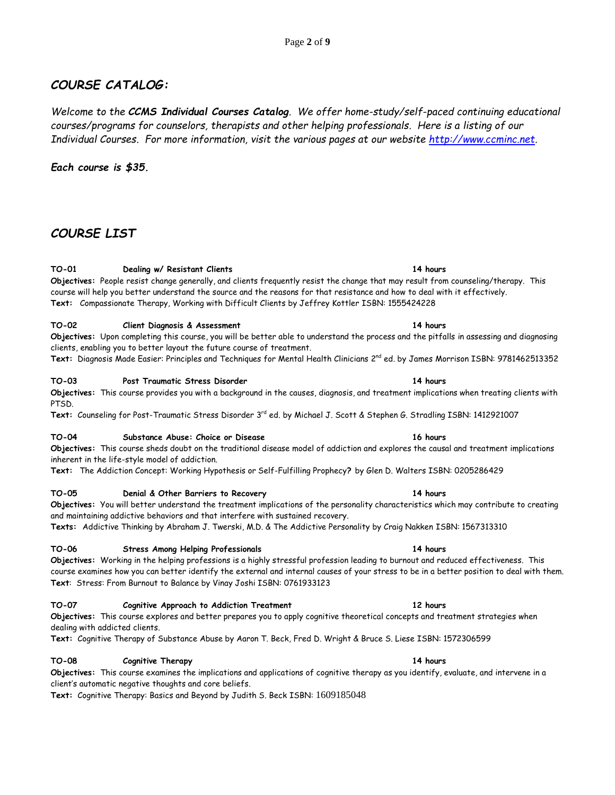## *COURSE CATALOG:*

*Welcome to the CCMS Individual Courses Catalog. We offer home-study/self-paced continuing educational courses/programs for counselors, therapists and other helping professionals. Here is a listing of our Individual Courses. For more information, visit the various pages at our website [http://www.ccminc.net.](http://www.ccminc.net/)*

## *Each course is \$35.*

## *COURSE LIST*

## **TO-01 Dealing w/ Resistant Clients 14 hours**

**Objectives:** People resist change generally, and clients frequently resist the change that may result from counseling/therapy. This course will help you better understand the source and the reasons for that resistance and how to deal with it effectively. **Text:** Compassionate Therapy, Working with Difficult Clients by Jeffrey Kottler ISBN: 1555424228

### **TO-02 Client Diagnosis & Assessment 14 hours**

**Objectives:** Upon completing this course, you will be better able to understand the process and the pitfalls in assessing and diagnosing clients, enabling you to better layout the future course of treatment.

**Text:** Diagnosis Made Easier: Principles and Techniques for Mental Health Clinicians 2 nd ed. by James Morrison ISBN: 9781462513352

### **TO-03 Post Traumatic Stress Disorder 14 hours**

**Objectives:** This course provides you with a background in the causes, diagnosis, and treatment implications when treating clients with PTSD.

**Text:** Counseling for Post-Traumatic Stress Disorder 3 rd ed. by Michael J. Scott & Stephen G. Stradling ISBN: 1412921007

### **TO-04 Substance Abuse: Choice or Disease 16 hours**

**Objectives:** This course sheds doubt on the traditional disease model of addiction and explores the causal and treatment implications inherent in the life-style model of addiction.

**Text:** The Addiction Concept: Working Hypothesis or Self-Fulfilling Prophecy**?** by Glen D. Walters ISBN: 0205286429

### **TO-05 Denial & Other Barriers to Recovery 14 hours**

**Objectives:** You will better understand the treatment implications of the personality characteristics which may contribute to creating and maintaining addictive behaviors and that interfere with sustained recovery.

**Texts:** Addictive Thinking by Abraham J. Twerski, M.D. & The Addictive Personality by Craig Nakken ISBN: 1567313310

### **TO-06 Stress Among Helping Professionals 14 hours**

**Objectives:** Working in the helping professions is a highly stressful profession leading to burnout and reduced effectiveness. This course examines how you can better identify the external and internal causes of your stress to be in a better position to deal with them. **Text**: Stress: From Burnout to Balance by Vinay Joshi ISBN: 0761933123

### **TO-07 Cognitive Approach to Addiction Treatment 12 hours**

**Objectives:** This course explores and better prepares you to apply cognitive theoretical concepts and treatment strategies when dealing with addicted clients.

**Text:** Cognitive Therapy of Substance Abuse by Aaron T. Beck, Fred D. Wright & Bruce S. Liese ISBN: 1572306599

### **TO-08 Cognitive Therapy 14 hours**

**Objectives:** This course examines the implications and applications of cognitive therapy as you identify, evaluate, and intervene in a client's automatic negative thoughts and core beliefs.

**Text:** Cognitive Therapy: Basics and Beyond by Judith S. Beck ISBN: 1609185048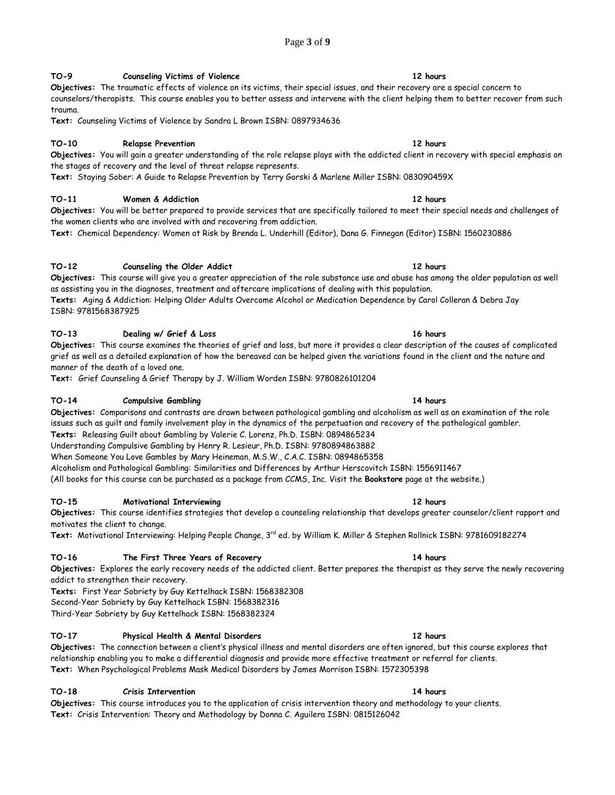## Page **3** of **9**

## **TO-9 Counseling Victims of Violence 12 hours**

**Objectives:** The traumatic effects of violence on its victims, their special issues, and their recovery are a special concern to counselors/therapists. This course enables you to better assess and intervene with the client helping them to better recover from such trauma.

**Text:** Counseling Victims of Violence by Sandra L Brown ISBN: 0897934636

### **TO-10 Relapse Prevention 12 hours**

**Objectives:** You will gain a greater understanding of the role relapse plays with the addicted client in recovery with special emphasis on the stages of recovery and the level of threat relapse represents.

**Text:** Staying Sober: A Guide to Relapse Prevention by Terry Gorski & Marlene Miller ISBN: 083090459X

## **TO-11 Women & Addiction 12 hours**

**Objectives:** You will be better prepared to provide services that are specifically tailored to meet their special needs and challenges of the women clients who are involved with and recovering from addiction.

**Text:** Chemical Dependency: Women at Risk b[y Brenda L.](http://shop.barnesandnoble.com/booksearch/results.asp?userid=2I2EQLD9X5&mscssid=K9HTT1P4FDE39GR26MR7EB8TSFX02WB8&author_last=Underhill&author_first=Brenda+L%2E&match=exact&options=and) Underhill (Editor), [Dana G. Finnegan](http://shop.barnesandnoble.com/booksearch/results.asp?userid=2I2EQLD9X5&mscssid=K9HTT1P4FDE39GR26MR7EB8TSFX02WB8&author_last=Finnegan&author_first=Dana+G%2E&match=exact&options=and) (Editor) ISBN: 1560230886

## **TO-12 Counseling the Older Addict 12 hours**

**Objectives:** This course will give you a greater appreciation of the role substance use and abuse has among the older population as well as assisting you in the diagnoses, treatment and aftercare implications of dealing with this population. **Texts:** Aging & Addiction: Helping Older Adults Overcome Alcohol or Medication Dependence by Carol Colleran & Debra Jay ISBN: 9781568387925

### **TO-13 Dealing w/ Grief & Loss 16 hours**

**Objectives:** This course examines the theories of grief and loss, but more it provides a clear description of the causes of complicated grief as well as a detailed explanation of how the bereaved can be helped given the variations found in the client and the nature and manner of the death of a loved one.

**Text:** Grief Counseling & Grief Therapy by J. William Worden ISBN: 9780826101204

### **TO-14 Compulsive Gambling 14 hours**

**Objectives:** Comparisons and contrasts are drawn between pathological gambling and alcoholism as well as an examination of the role issues such as guilt and family involvement play in the dynamics of the perpetuation and recovery of the pathological gambler.

**Texts:** Releasing Guilt about Gambling by Valerie C. Lorenz, Ph.D. ISBN: 0894865234

Understanding Compulsive Gambling by Henry R. Lesieur, Ph.D. ISBN: 9780894863882 When Someone You Love Gambles by Mary Heineman, M.S.W., C.A.C. ISBN: 0894865358

Alcoholism and Pathological Gambling: Similarities and Differences by Arthur Herscovitch ISBN: 1556911467

(All books for this course can be purchased as a package from CCMS, Inc. Visit the **Bookstore** page at the website.)

### **TO-15 Motivational Interviewing 12 hours**

**Objectives:** This course identifies strategies that develop a counseling relationship that develops greater counselor/client rapport and motivates the client to change.

**Text:** Motivational Interviewing: Helping People Change, 3rd ed. by William K. Miller & Stephen Rollnick ISBN: 9781609182274

### **TO-16 The First Three Years of Recovery 14 hours**

**Objectives:** Explores the early recovery needs of the addicted client. Better prepares the therapist as they serve the newly recovering addict to strengthen their recovery.

**Texts:** First Year Sobriety by Guy Kettelhack ISBN: 1568382308 Second-Year Sobriety by Guy Kettelhack ISBN: 1568382316

Third-Year Sobriety by Guy Kettelhack ISBN: 1568382324

### **TO-17 Physical Health & Mental Disorders 12 hours**

**Objectives:** The connection between a client's physical illness and mental disorders are often ignored, but this course explores that relationship enabling you to make a differential diagnosis and provide more effective treatment or referral for clients. **Text:** When Psychological Problems Mask Medical Disorders by James Morrison ISBN: 1572305398

## **TO-18 Crisis Intervention 14 hours**

**Objectives:** This course introduces you to the application of crisis intervention theory and methodology to your clients. **Text:** Crisis Intervention: Theory and Methodology by Donna C. Aguilera ISBN: 0815126042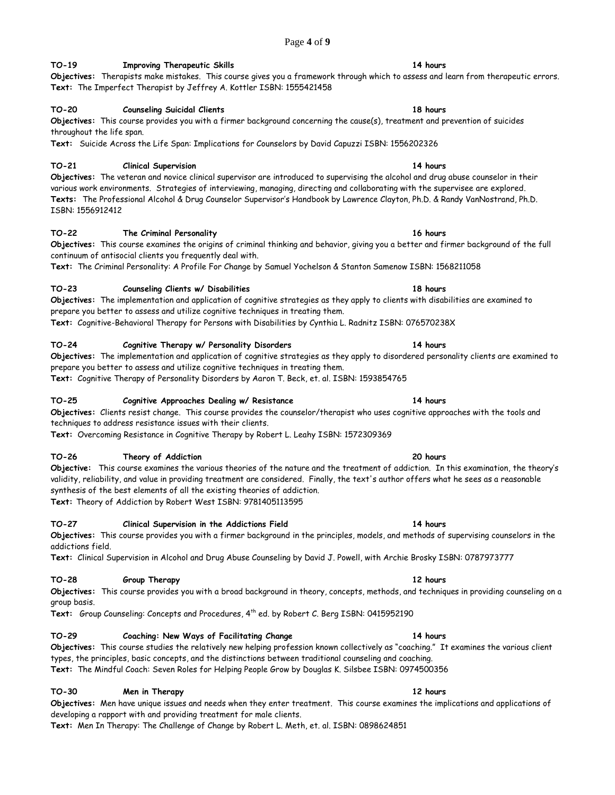## Page **4** of **9**

## **TO-19 Improving Therapeutic Skills 14 hours**

**Objectives:** Therapists make mistakes. This course gives you a framework through which to assess and learn from therapeutic errors. **Text:** The Imperfect Therapist by Jeffrey A. Kottler ISBN: 1555421458

## **TO-20 Counseling Suicidal Clients 18 hours**

## **Objectives:** This course provides you with a firmer background concerning the cause(s), treatment and prevention of suicides throughout the life span.

**Text:** Suicide Across the Life Span: Implications for Counselors by David Capuzzi ISBN: 1556202326

## **TO-21 Clinical Supervision 14 hours**

**Objectives:** The veteran and novice clinical supervisor are introduced to supervising the alcohol and drug abuse counselor in their various work environments. Strategies of interviewing, managing, directing and collaborating with the supervisee are explored. **Texts:** The Professional Alcohol & Drug Counselor Supervisor's Handbook by Lawrence Clayton, Ph.D. & Randy VanNostrand, Ph.D. ISBN: 1556912412

### **TO-22 The Criminal Personality 16 hours**

**Objectives:** This course examines the origins of criminal thinking and behavior, giving you a better and firmer background of the full continuum of antisocial clients you frequently deal with.

**Text:** The Criminal Personality: A Profile For Change by Samuel Yochelson & Stanton Samenow ISBN: 1568211058

## **TO-23 Counseling Clients w/ Disabilities 18 hours**

**Objectives:** The implementation and application of cognitive strategies as they apply to clients with disabilities are examined to prepare you better to assess and utilize cognitive techniques in treating them.

**Text:** Cognitive-Behavioral Therapy for Persons with Disabilities by Cynthia L. Radnitz ISBN: 076570238X

### **TO-24 Cognitive Therapy w/ Personality Disorders 14 hours**

**Objectives:** The implementation and application of cognitive strategies as they apply to disordered personality clients are examined to prepare you better to assess and utilize cognitive techniques in treating them.

**Text:** Cognitive Therapy of Personality Disorders by Aaron T. Beck, et. al. ISBN: 1593854765

### **TO-25 Cognitive Approaches Dealing w/ Resistance 14 hours**

**Objectives:** Clients resist change. This course provides the counselor/therapist who uses cognitive approaches with the tools and techniques to address resistance issues with their clients.

**Text:** Overcoming Resistance in Cognitive Therapy by Robert L. Leahy ISBN: 1572309369

### **TO-26 Theory of Addiction 20 hours**

**Objective:** This course examines the various theories of the nature and the treatment of addiction. In this examination, the theory's validity, reliability, and value in providing treatment are considered. Finally, the text's author offers what he sees as a reasonable synthesis of the best elements of all the existing theories of addiction.

**Text:** Theory of Addiction by Robert West ISBN: 9781405113595

### **TO-27 Clinical Supervision in the Addictions Field 14 hours**

### **Objectives:** This course provides you with a firmer background in the principles, models, and methods of supervising counselors in the addictions field.

**Text:** Clinical Supervision in Alcohol and Drug Abuse Counseling by David J. Powell, with Archie Brosky ISBN: 0787973777

### **TO-28 Group Therapy 12 hours**

**Objectives:** This course provides you with a broad background in theory, concepts, methods, and techniques in providing counseling on a group basis.

Text: Group Counseling: Concepts and Procedures, 4<sup>th</sup> ed. by Robert C. Berg ISBN: 0415952190

### **TO-29 Coaching: New Ways of Facilitating Change 14 hours**

**Objectives:** This course studies the relatively new helping profession known collectively as "coaching." It examines the various client types, the principles, basic concepts, and the distinctions between traditional counseling and coaching.

## **Text:** The Mindful Coach: Seven Roles for Helping People Grow by Douglas K. Silsbee ISBN: 0974500356

## **TO-30 Men in Therapy 12 hours**

**Objectives:** Men have unique issues and needs when they enter treatment. This course examines the implications and applications of developing a rapport with and providing treatment for male clients.

**Text:** Men In Therapy: The Challenge of Change by Robert L. Meth, et. al. ISBN: 0898624851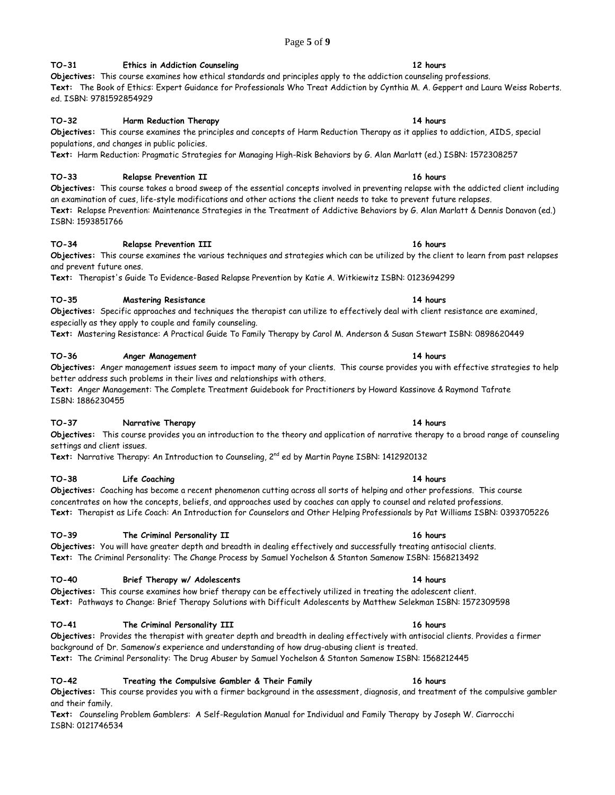## Page **5** of **9**

## **TO-31 Ethics in Addiction Counseling 12 hours**

**Objectives:** This course examines how ethical standards and principles apply to the addiction counseling professions. **Text:** The Book of Ethics: Expert Guidance for Professionals Who Treat Addiction by Cynthia M. A. Geppert and Laura Weiss Roberts. ed. ISBN: 9781592854929

## **TO-32 Harm Reduction Therapy 14 hours**

**Objectives:** This course examines the principles and concepts of Harm Reduction Therapy as it applies to addiction, AIDS, special populations, and changes in public policies.

**Text:** Harm Reduction: Pragmatic Strategies for Managing High-Risk Behaviors by G. Alan Marlatt (ed.) ISBN: 1572308257

## **TO-33 Relapse Prevention II 16 hours**

**Objectives:** This course takes a broad sweep of the essential concepts involved in preventing relapse with the addicted client including an examination of cues, life-style modifications and other actions the client needs to take to prevent future relapses. **Text:** Relapse Prevention: Maintenance Strategies in the Treatment of Addictive Behaviors by G. Alan Marlatt & Dennis Donavon (ed.) ISBN: 1593851766

## **TO-34 Relapse Prevention III 16 hours**

**Objectives:** This course examines the various techniques and strategies which can be utilized by the client to learn from past relapses and prevent future ones.

**Text:** Therapist's Guide To Evidence-Based Relapse Prevention by Katie A. Witkiewitz ISBN: 0123694299

## **TO-35 Mastering Resistance 14 hours**

**Objectives:** Specific approaches and techniques the therapist can utilize to effectively deal with client resistance are examined, especially as they apply to couple and family counseling.

**Text:** Mastering Resistance: A Practical Guide To Family Therapy by Carol M. Anderson & Susan Stewart ISBN: 0898620449

## **TO-36 Anger Management 14 hours**

**Objectives:** Anger management issues seem to impact many of your clients. This course provides you with effective strategies to help better address such problems in their lives and relationships with others.

**Text:** Anger Management: The Complete Treatment Guidebook for Practitioners by Howard Kassinove & Raymond Tafrate ISBN: 1886230455

## **TO-37 Narrative Therapy 14 hours**

**Objectives:** This course provides you an introduction to the theory and application of narrative therapy to a broad range of counseling settings and client issues.

Text: Narrative Therapy: An Introduction to Counseling, 2<sup>nd</sup> ed by Martin Payne ISBN: 1412920132

## **TO-38 Life Coaching 14 hours**

## **Objectives:** Coaching has become a recent phenomenon cutting across all sorts of helping and other professions. This course concentrates on how the concepts, beliefs, and approaches used by coaches can apply to counsel and related professions. **Text:** Therapist as Life Coach: An Introduction for Counselors and Other Helping Professionals by Pat Williams ISBN: 0393705226

## **TO-39 The Criminal Personality II 16 hours**

**Objectives:** You will have greater depth and breadth in dealing effectively and successfully treating antisocial clients. **Text:** The Criminal Personality: The Change Process by Samuel Yochelson & Stanton Samenow ISBN: 1568213492

## **TO-40 Brief Therapy w/ Adolescents 14 hours**

**Objectives:** This course examines how brief therapy can be effectively utilized in treating the adolescent client. **Text:** Pathways to Change: Brief Therapy Solutions with Difficult Adolescents by Matthew Selekman ISBN: 1572309598

## **TO-41 The Criminal Personality III 16 hours**

**Objectives:** Provides the therapist with greater depth and breadth in dealing effectively with antisocial clients. Provides a firmer background of Dr. Samenow's experience and understanding of how drug-abusing client is treated. **Text:** The Criminal Personality: The Drug Abuser by Samuel Yochelson & Stanton Samenow ISBN: 1568212445

**TO-42 Treating the Compulsive Gambler & Their Family 16 hours**

**Objectives:** This course provides you with a firmer background in the assessment, diagnosis, and treatment of the compulsive gambler and their family.

**Text:** Counseling Problem Gamblers: A Self-Regulation Manual for Individual and Family Therapy by Joseph W. Ciarrocchi ISBN: 0121746534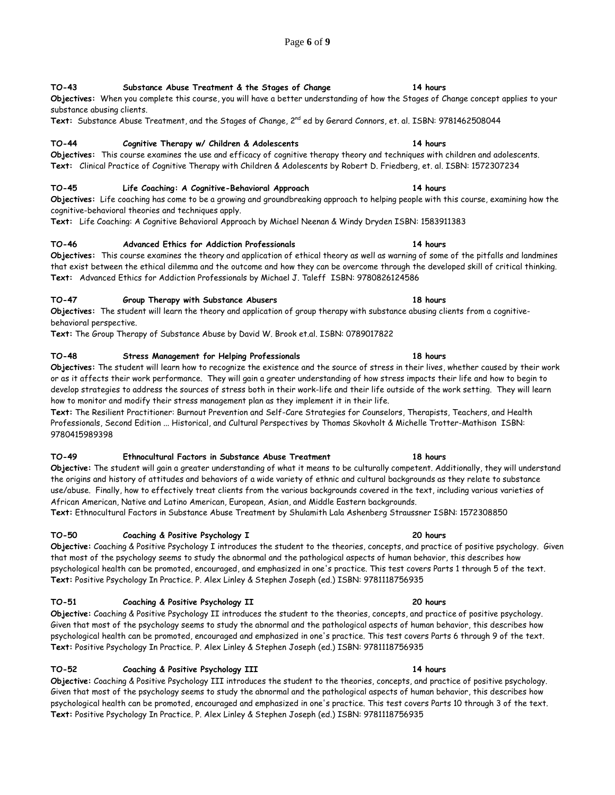## **TO-43 Substance Abuse Treatment & the Stages of Change 14 hours**

## **Objectives:** When you complete this course, you will have a better understanding of how the Stages of Change concept applies to your substance abusing clients.

**Text:** Substance Abuse Treatment, and the Stages of Change, 2nd ed by Gerard Connors, et. al. ISBN: 9781462508044

## **TO-44 Cognitive Therapy w/ Children & Adolescents 14 hours**

**Objectives:** This course examines the use and efficacy of cognitive therapy theory and techniques with children and adolescents. **Text:** Clinical Practice of Cognitive Therapy with Children & Adolescents by Robert D. Friedberg, et. al. ISBN: 1572307234

## **TO-45 Life Coaching: A Cognitive-Behavioral Approach 14 hours**

**Objectives:** Life coaching has come to be a growing and groundbreaking approach to helping people with this course, examining how the cognitive-behavioral theories and techniques apply.

**Text:** Life Coaching: A Cognitive Behavioral Approach by Michael Neenan & Windy Dryden ISBN: 1583911383

## **TO-46 Advanced Ethics for Addiction Professionals 14 hours**

**Objectives:** This course examines the theory and application of ethical theory as well as warning of some of the pitfalls and landmines that exist between the ethical dilemma and the outcome and how they can be overcome through the developed skill of critical thinking. **Text:** Advanced Ethics for Addiction Professionals by Michael J. Taleff ISBN: 9780826124586

### **TO-47 Group Therapy with Substance Abusers 18 hours**

**Objectives:** The student will learn the theory and application of group therapy with substance abusing clients from a cognitivebehavioral perspective.

**Text:** The Group Therapy of Substance Abuse by David W. Brook et.al. ISBN: 0789017822

### **TO-48 Stress Management for Helping Professionals 18 hours**

**Objectives:** The student will learn how to recognize the existence and the source of stress in their lives, whether caused by their work or as it affects their work performance. They will gain a greater understanding of how stress impacts their life and how to begin to develop strategies to address the sources of stress both in their work-life and their life outside of the work setting. They will learn how to monitor and modify their stress management plan as they implement it in their life.

**Text:** The Resilient Practitioner: Burnout Prevention and Self-Care Strategies for Counselors, Therapists, Teachers, and Health Professionals, Second Edition ... Historical, and Cultural Perspectives by Thomas Skovholt & Michelle Trotter-Mathison ISBN: 9780415989398

### **TO-49 Ethnocultural Factors in Substance Abuse Treatment 18 hours**

**Objective:** The student will gain a greater understanding of what it means to be culturally competent. Additionally, they will understand the origins and history of attitudes and behaviors of a wide variety of ethnic and cultural backgrounds as they relate to substance use/abuse. Finally, how to effectively treat clients from the various backgrounds covered in the text, including various varieties of African American, Native and Latino American, European, Asian, and Middle Eastern backgrounds.

**Text:** Ethnocultural Factors in Substance Abuse Treatment by Shulamith Lala Ashenberg Straussner ISBN: 1572308850

### **TO-50 Coaching & Positive Psychology I 20 hours**

**Objective:** Coaching & Positive Psychology I introduces the student to the theories, concepts, and practice of positive psychology. Given that most of the psychology seems to study the abnormal and the pathological aspects of human behavior, this describes how psychological health can be promoted, encouraged, and emphasized in one's practice. This test covers Parts 1 through 5 of the text. **Text:** Positive Psychology In Practice. P. Alex Linley & Stephen Joseph (ed.) ISBN: 9781118756935

### **TO-51 Coaching & Positive Psychology II 20 hours**

**Objective:** Coaching & Positive Psychology II introduces the student to the theories, concepts, and practice of positive psychology. Given that most of the psychology seems to study the abnormal and the pathological aspects of human behavior, this describes how psychological health can be promoted, encouraged and emphasized in one's practice. This test covers Parts 6 through 9 of the text. **Text:** Positive Psychology In Practice. P. Alex Linley & Stephen Joseph (ed.) ISBN: 9781118756935

### **TO-52 Coaching & Positive Psychology III 14 hours**

**Objective:** Coaching & Positive Psychology III introduces the student to the theories, concepts, and practice of positive psychology. Given that most of the psychology seems to study the abnormal and the pathological aspects of human behavior, this describes how psychological health can be promoted, encouraged and emphasized in one's practice. This test covers Parts 10 through 3 of the text. **Text:** Positive Psychology In Practice. P. Alex Linley & Stephen Joseph (ed.) ISBN: 9781118756935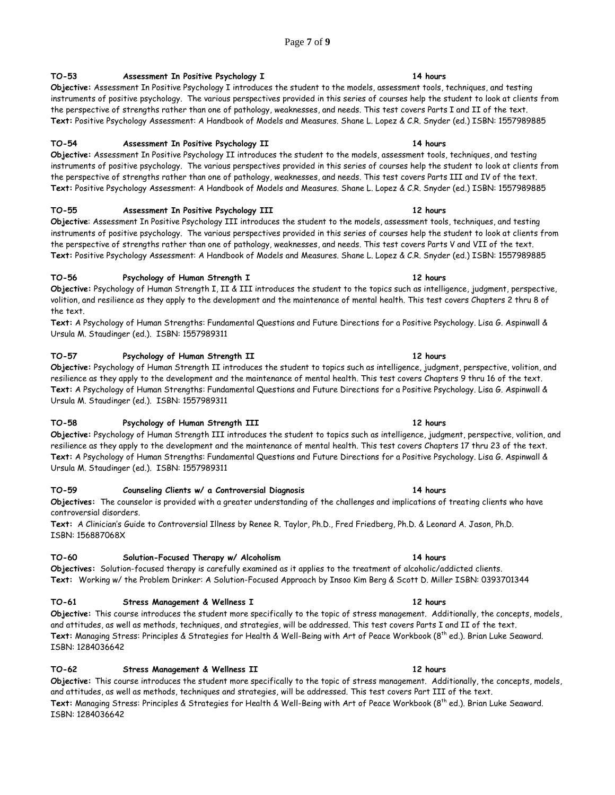## Page **7** of **9**

## **TO-53 Assessment In Positive Psychology I 14 hours**

**Objective:** Assessment In Positive Psychology I introduces the student to the models, assessment tools, techniques, and testing instruments of positive psychology. The various perspectives provided in this series of courses help the student to look at clients from the perspective of strengths rather than one of pathology, weaknesses, and needs. This test covers Parts I and II of the text. **Text:** Positive Psychology Assessment: A Handbook of Models and Measures. Shane L. Lopez & C.R. Snyder (ed.) ISBN: 1557989885

### **TO-54 Assessment In Positive Psychology II 14 hours**

**Objective:** Assessment In Positive Psychology II introduces the student to the models, assessment tools, techniques, and testing instruments of positive psychology. The various perspectives provided in this series of courses help the student to look at clients from the perspective of strengths rather than one of pathology, weaknesses, and needs. This test covers Parts III and IV of the text. **Text:** Positive Psychology Assessment: A Handbook of Models and Measures. Shane L. Lopez & C.R. Snyder (ed.) ISBN: 1557989885

### **TO-55 Assessment In Positive Psychology III 12 hours**

**Objective**: Assessment In Positive Psychology III introduces the student to the models, assessment tools, techniques, and testing instruments of positive psychology. The various perspectives provided in this series of courses help the student to look at clients from the perspective of strengths rather than one of pathology, weaknesses, and needs. This test covers Parts V and VII of the text. Text: Positive Psychology Assessment: A Handbook of Models and Measures. Shane L. Lopez & C.R. Snyder (ed.) ISBN: 1557989885

### **TO-56 Psychology of Human Strength I 12 hours**

**Objective:** Psychology of Human Strength I, II & III introduces the student to the topics such as intelligence, judgment, perspective, volition, and resilience as they apply to the development and the maintenance of mental health. This test covers Chapters 2 thru 8 of the text.

**Text:** A Psychology of Human Strengths: Fundamental Questions and Future Directions for a Positive Psychology. Lisa G. Aspinwall & Ursula M. Staudinger (ed.). ISBN: 1557989311

### **TO-57 Psychology of Human Strength II 12 hours**

**Objective:** Psychology of Human Strength II introduces the student to topics such as intelligence, judgment, perspective, volition, and resilience as they apply to the development and the maintenance of mental health. This test covers Chapters 9 thru 16 of the text. **Text:** A Psychology of Human Strengths: Fundamental Questions and Future Directions for a Positive Psychology. Lisa G. Aspinwall & Ursula M. Staudinger (ed.). ISBN: 1557989311

### **TO-58 Psychology of Human Strength III 12 hours**

**Objective:** Psychology of Human Strength III introduces the student to topics such as intelligence, judgment, perspective, volition, and resilience as they apply to the development and the maintenance of mental health. This test covers Chapters 17 thru 23 of the text. **Text:** A Psychology of Human Strengths: Fundamental Questions and Future Directions for a Positive Psychology. Lisa G. Aspinwall & Ursula M. Staudinger (ed.). ISBN: 1557989311

### **TO-59 Counseling Clients w/ a Controversial Diagnosis 14 hours**

**Objectives:** The counselor is provided with a greater understanding of the challenges and implications of treating clients who have controversial disorders.

**Text:** A Clinician's Guide to Controversial Illness by Renee R. Taylor, Ph.D., Fred Friedberg, Ph.D. & Leonard A. Jason, Ph.D. ISBN: 156887068X

## **TO-60 Solution-Focused Therapy w/ Alcoholism 14 hours**

**Objectives:** Solution-focused therapy is carefully examined as it applies to the treatment of alcoholic/addicted clients. **Text:** Working w/ the Problem Drinker: A Solution-Focused Approach by Insoo Kim Berg & Scott D. Miller ISBN: 0393701344

## **TO-61 Stress Management & Wellness I 12 hours**

**Objective:** This course introduces the student more specifically to the topic of stress management. Additionally, the concepts, models, and attitudes, as well as methods, techniques, and strategies, will be addressed. This test covers Parts I and II of the text. **Text:** Managing Stress: Principles & Strategies for Health & Well-Being with Art of Peace Workbook (8 th ed.). Brian Luke Seaward. ISBN: 1284036642

### **TO-62 Stress Management & Wellness II 12 hours**

**Objective:** This course introduces the student more specifically to the topic of stress management. Additionally, the concepts, models, and attitudes, as well as methods, techniques and strategies, will be addressed. This test covers Part III of the text. **Text:** Managing Stress: Principles & Strategies for Health & Well-Being with Art of Peace Workbook (8 th ed.). Brian Luke Seaward. ISBN: 1284036642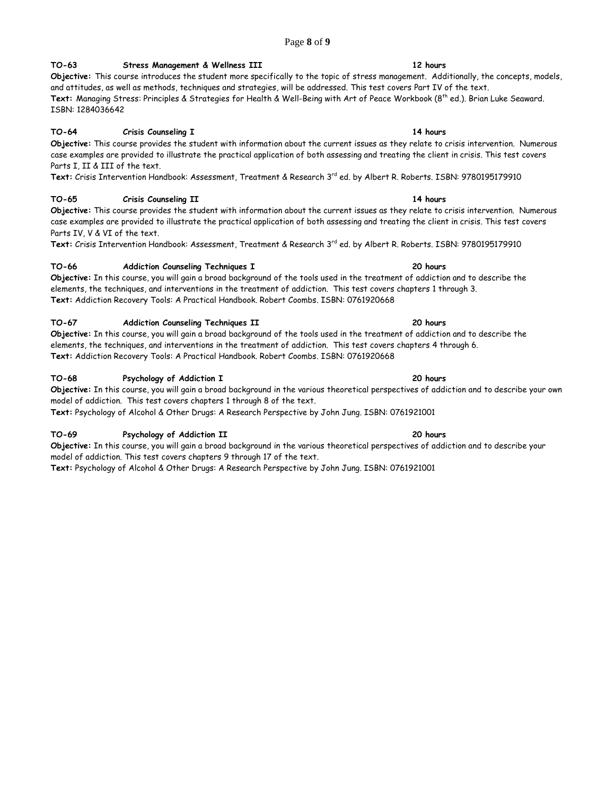## Page **8** of **9**

## **TO-63 Stress Management & Wellness III 12 hours**

**Objective:** This course introduces the student more specifically to the topic of stress management. Additionally, the concepts, models, and attitudes, as well as methods, techniques and strategies, will be addressed. This test covers Part IV of the text. **Text:** Managing Stress: Principles & Strategies for Health & Well-Being with Art of Peace Workbook (8 th ed.). Brian Luke Seaward. ISBN: 1284036642

## **TO-64 Crisis Counseling I 14 hours**

**Objective:** This course provides the student with information about the current issues as they relate to crisis intervention. Numerous case examples are provided to illustrate the practical application of both assessing and treating the client in crisis. This test covers Parts I, II & III of the text.

Text: Crisis Intervention Handbook: Assessment, Treatment & Research 3<sup>rd</sup> ed. by Albert R. Roberts. ISBN: 9780195179910

## **TO-65 Crisis Counseling II 14 hours**

**Objective:** This course provides the student with information about the current issues as they relate to crisis intervention. Numerous case examples are provided to illustrate the practical application of both assessing and treating the client in crisis. This test covers Parts IV, V & VI of the text.

Text: Crisis Intervention Handbook: Assessment, Treatment & Research 3<sup>rd</sup> ed. by Albert R. Roberts. ISBN: 9780195179910

## **TO-66 Addiction Counseling Techniques I 20 hours**

**Objective:** In this course, you will gain a broad background of the tools used in the treatment of addiction and to describe the elements, the techniques, and interventions in the treatment of addiction. This test covers chapters 1 through 3. **Text:** Addiction Recovery Tools: A Practical Handbook. Robert Coombs. ISBN: 0761920668

## **TO-67 Addiction Counseling Techniques II 20 hours**

**Objective:** In this course, you will gain a broad background of the tools used in the treatment of addiction and to describe the elements, the techniques, and interventions in the treatment of addiction. This test covers chapters 4 through 6. **Text:** Addiction Recovery Tools: A Practical Handbook. Robert Coombs. ISBN: 0761920668

## **TO-68 Psychology of Addiction I 20 hours**

**Objective:** In this course, you will gain a broad background in the various theoretical perspectives of addiction and to describe your own model of addiction. This test covers chapters 1 through 8 of the text. **Text:** Psychology of Alcohol & Other Drugs: A Research Perspective by John Jung. ISBN: 0761921001

## **TO-69 Psychology of Addiction II 20 hours**

**Objective:** In this course, you will gain a broad background in the various theoretical perspectives of addiction and to describe your model of addiction. This test covers chapters 9 through 17 of the text.

**Text:** Psychology of Alcohol & Other Drugs: A Research Perspective by John Jung. ISBN: 0761921001